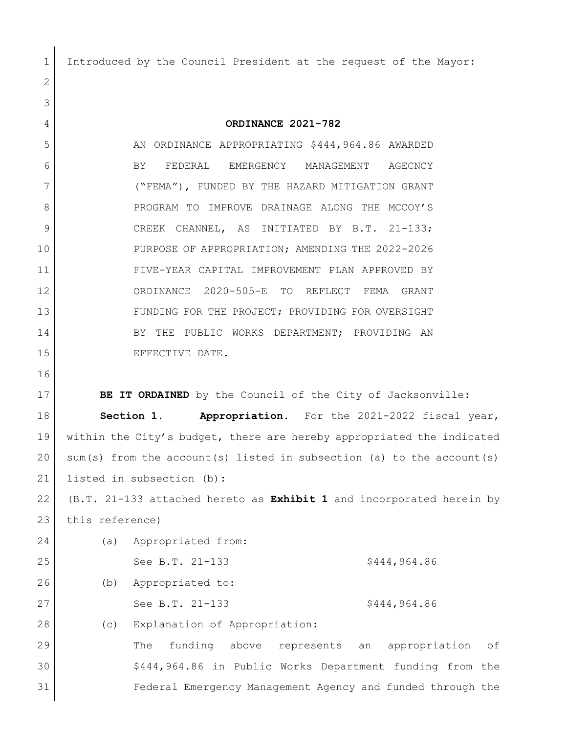Introduced by the Council President at the request of the Mayor:

 **ORDINANCE 2021-782** 5 AN ORDINANCE APPROPRIATING \$444,964.86 AWARDED BY FEDERAL EMERGENCY MANAGEMENT AGECNCY ("FEMA"), FUNDED BY THE HAZARD MITIGATION GRANT 8 PROGRAM TO IMPROVE DRAINAGE ALONG THE MCCOY'S 9 CREEK CHANNEL, AS INITIATED BY B.T. 21-133; PURPOSE OF APPROPRIATION; AMENDING THE 2022-2026 FIVE-YEAR CAPITAL IMPROVEMENT PLAN APPROVED BY ORDINANCE 2020-505-E TO REFLECT FEMA GRANT 13 FUNDING FOR THE PROJECT; PROVIDING FOR OVERSIGHT 14 BY THE PUBLIC WORKS DEPARTMENT; PROVIDING AN 15 EFFECTIVE DATE. 

**BE IT ORDAINED** by the Council of the City of Jacksonville: **Section 1. Appropriation.** For the 2021-2022 fiscal year, within the City's budget, there are hereby appropriated the indicated sum(s) from the account(s) listed in subsection (a) to the account(s) listed in subsection (b):

 (B.T. 21-133 attached hereto as **Exhibit 1** and incorporated herein by 23 this reference)

| 24 | (a) | Appropriated from:                                              |
|----|-----|-----------------------------------------------------------------|
| 25 |     | See B.T. 21-133<br>\$444,964.86                                 |
| 26 | (b) | Appropriated to:                                                |
| 27 |     | See B.T. 21-133<br>\$444,964.86                                 |
| 28 | (C) | Explanation of Appropriation:                                   |
| 29 |     | funding<br>appropriation<br>above<br>represents an<br>The<br>of |
| 30 |     | \$444,964.86 in Public Works Department funding from the        |
| 31 |     | Federal Emergency Management Agency and funded through the      |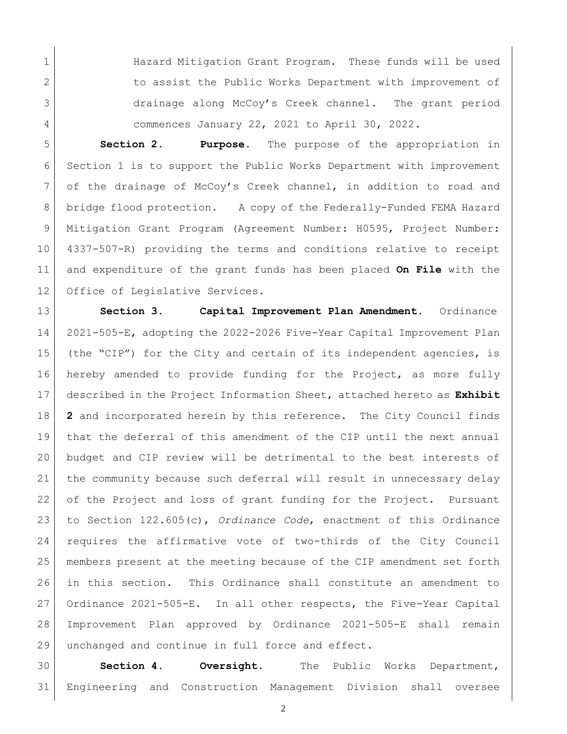1 Hazard Mitigation Grant Program. These funds will be used 2 to assist the Public Works Department with improvement of drainage along McCoy's Creek channel. The grant period commences January 22, 2021 to April 30, 2022.

 **Section 2. Purpose.** The purpose of the appropriation in Section 1 is to support the Public Works Department with improvement of the drainage of McCoy's Creek channel, in addition to road and bridge flood protection. A copy of the Federally-Funded FEMA Hazard Mitigation Grant Program (Agreement Number: H0595, Project Number: 4337-507-R) providing the terms and conditions relative to receipt and expenditure of the grant funds has been placed **On File** with the Office of Legislative Services.

 **Section 3. Capital Improvement Plan Amendment.** Ordinance 2021-505-E, adopting the 2022-2026 Five-Year Capital Improvement Plan (the "CIP") for the City and certain of its independent agencies, is hereby amended to provide funding for the Project, as more fully described in the Project Information Sheet, attached hereto as **Exhibit 2** and incorporated herein by this reference. The City Council finds that the deferral of this amendment of the CIP until the next annual budget and CIP review will be detrimental to the best interests of the community because such deferral will result in unnecessary delay 22 of the Project and loss of grant funding for the Project. Pursuant to Section 122.605(c), *Ordinance Code*, enactment of this Ordinance requires the affirmative vote of two-thirds of the City Council members present at the meeting because of the CIP amendment set forth in this section. This Ordinance shall constitute an amendment to Ordinance 2021-505-E. In all other respects, the Five-Year Capital Improvement Plan approved by Ordinance 2021-505-E shall remain 29 unchanged and continue in full force and effect.

 **Section 4. Oversight.** The Public Works Department, Engineering and Construction Management Division shall oversee